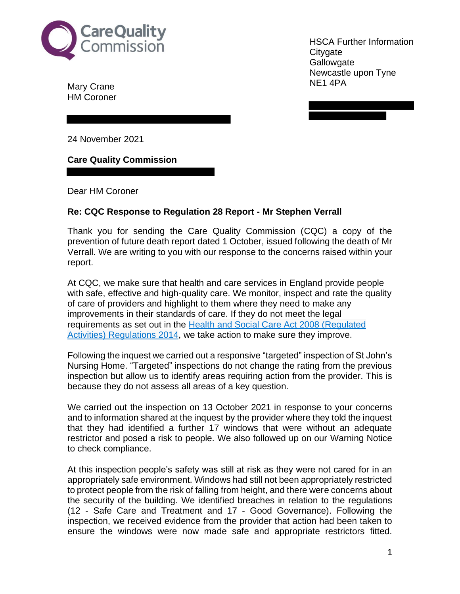

Mary Crane NE1 4PA HM Coroner

 Newcastle upon Tyne HSCA Further Information **Citygate Gallowgate** 

24 November 2021

**Care Quality Commission** 

Dear HM Coroner

## **Re: CQC Response to Regulation 28 Report - Mr Stephen Verrall**

 Thank you for sending the Care Quality Commission (CQC) a copy of the prevention of future death report dated 1 October, issued following the death of Mr Verrall. We are writing to you with our response to the concerns raised within your report.

 At CQC, we make sure that health and care services in England provide people with safe, effective and high-quality care. We monitor, inspect and rate the quality of care of providers and highlight to them where they need to make any improvements in their standards of care. If they do not meet the legal requirements as set out in the **Health and Social Care Act 2008 (Requiated** Activities) Regulations 2014, we take action to make sure they improve.

 Following the inquest we carried out a responsive "targeted" inspection of St John's Nursing Home. "Targeted" inspections do not change the rating from the previous inspection but allow us to identify areas requiring action from the provider. This is because they do not assess all areas of a key question.

 We carried out the inspection on 13 October 2021 in response to your concerns and to information shared at the inquest by the provider where they told the inquest that they had identified a further 17 windows that were without an adequate restrictor and posed a risk to people. We also followed up on our Warning Notice to check compliance.

 At this inspection people's safety was still at risk as they were not cared for in an appropriately safe environment. Windows had still not been appropriately restricted to protect people from the risk of falling from height, and there were concerns about the security of the building. We identified breaches in relation to the regulations (12 - Safe Care and Treatment and 17 - Good Governance). Following the inspection, we received evidence from the provider that action had been taken to ensure the windows were now made safe and appropriate restrictors fitted.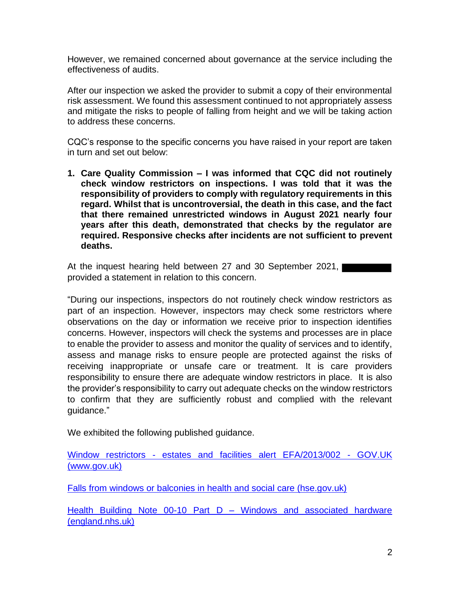However, we remained concerned about governance at the service including the effectiveness of audits.

 After our inspection we asked the provider to submit a copy of their environmental risk assessment. We found this assessment continued to not appropriately assess and mitigate the risks to people of falling from height and we will be taking action to address these concerns.

 CQC's response to the specific concerns you have raised in your report are taken in turn and set out below:

 **1. Care Quality Commission – I was informed that CQC did not routinely check window restrictors on inspections. I was told that it was the responsibility of providers to comply with regulatory requirements in this regard. Whilst that is uncontroversial, the death in this case, and the fact that there remained unrestricted windows in August 2021 nearly four years after this death, demonstrated that checks by the regulator are required. Responsive checks after incidents are not sufficient to prevent deaths.** 

 At the inquest hearing held between 27 and 30 September 2021, provided a statement in relation to this concern.

 "During our inspections, inspectors do not routinely check window restrictors as part of an inspection. However, inspectors may check some restrictors where observations on the day or information we receive prior to inspection identifies concerns. However, inspectors will check the systems and processes are in place to enable the provider to assess and monitor the quality of services and to identify, assess and manage risks to ensure people are protected against the risks of receiving inappropriate or unsafe care or treatment. It is care providers responsibility to ensure there are adequate window restrictors in place. It is also the provider's responsibility to carry out adequate checks on the window restrictors to confirm that they are sufficiently robust and complied with the relevant guidance."

We exhibited the following published guidance.

Window restrictors - estates and facilities alert EFA/2013/002 - GOV.UK (<www.gov.uk>)

Falls from windows or balconies in health and social care (hse.gov.uk)

Health Building Note 00-10 Part D - Windows and associated hardware ([england.nhs.uk\)](https://england.nhs.uk)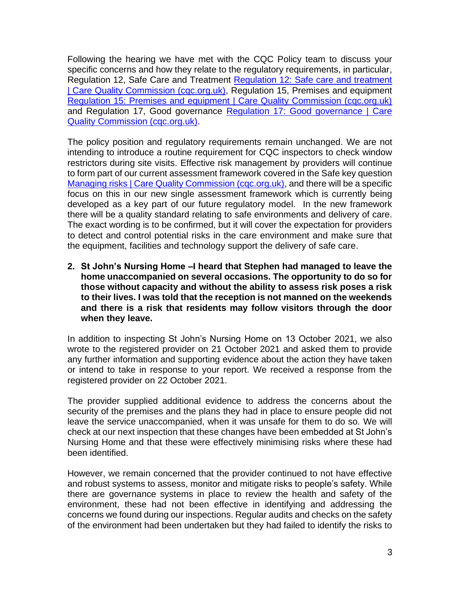Following the hearing we have met with the CQC Policy team to discuss your specific concerns and how they relate to the regulatory requirements, in particular, Regulation 12, Safe Care and Treatment Requlation 12: Safe care and treatment **Care Quality Commission (cqc.org.uk)**, Regulation 15, Premises and equipment Regulation 15: Premises and equipment | Care Quality Commission (cqc.org.uk) and Regulation 17, Good governance Regulation 17: Good governance | Care Quality Commission (cqc.org.uk).

 The policy position and regulatory requirements remain unchanged. We are not intending to introduce a routine requirement for CQC inspectors to check window restrictors during site visits. Effective risk management by providers will continue to form part of our current assessment framework covered in the Safe key question Managing risks | Care Quality Commission (cgc.org.uk), and there will be a specific focus on this in our new single assessment framework which is currently being developed as a key part of our future regulatory model. In the new framework there will be a quality standard relating to safe environments and delivery of care. The exact wording is to be confirmed, but it will cover the expectation for providers to detect and control potential risks in the care environment and make sure that the equipment, facilities and technology support the delivery of safe care.

 **2. St John's Nursing Home –I heard that Stephen had managed to leave the home unaccompanied on several occasions. The opportunity to do so for those without capacity and without the ability to assess risk poses a risk to their lives. I was told that the reception is not manned on the weekends and there is a risk that residents may follow visitors through the door when they leave.** 

 In addition to inspecting St John's Nursing Home on 13 October 2021, we also wrote to the registered provider on 21 October 2021 and asked them to provide any further information and supporting evidence about the action they have taken or intend to take in response to your report. We received a response from the registered provider on 22 October 2021.

 The provider supplied additional evidence to address the concerns about the security of the premises and the plans they had in place to ensure people did not leave the service unaccompanied, when it was unsafe for them to do so. We will check at our next inspection that these changes have been embedded at St John's Nursing Home and that these were effectively minimising risks where these had been identified.

 However, we remain concerned that the provider continued to not have effective and robust systems to assess, monitor and mitigate risks to people's safety. While there are governance systems in place to review the health and safety of the environment, these had not been effective in identifying and addressing the concerns we found during our inspections. Regular audits and checks on the safety of the environment had been undertaken but they had failed to identify the risks to